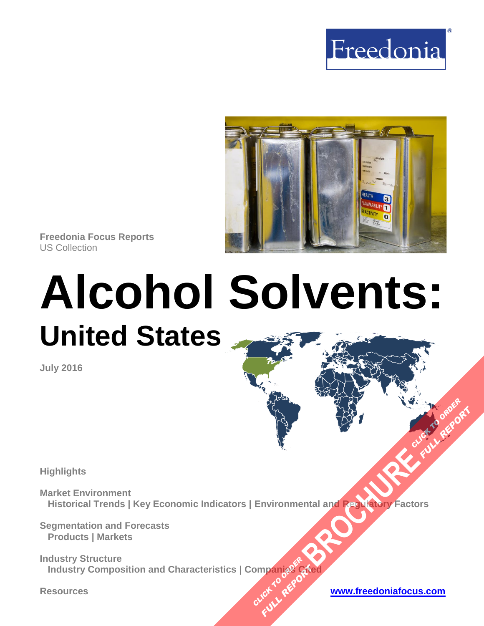



**Freedonia Focus Reports** US Collection

# **Alcohol Solvents: United States**

**July 2016**

**Highlights**

**Market Environment Historical Trends | Key Economic Indicators | Environmental and Regulatory Factors [BROCHURE](http://www.freedoniagroup.com/FocusDetails.aspx?ReferrerId=FM-FocusBro&ReportID=FF35081) AND THE CLICK TO ORDER** 

**Segmentation and Forecasts Products | Markets**

**Industry Structure Industry Composition and Characteristics | Companies Cited OMPanjages PREPORT** 

**Resources [www.freedoniafocus.com](http://www.freedoniagroup.com/FocusReports.aspx?ReferrerId=FM-FocusBro)**

**FULL REPORT**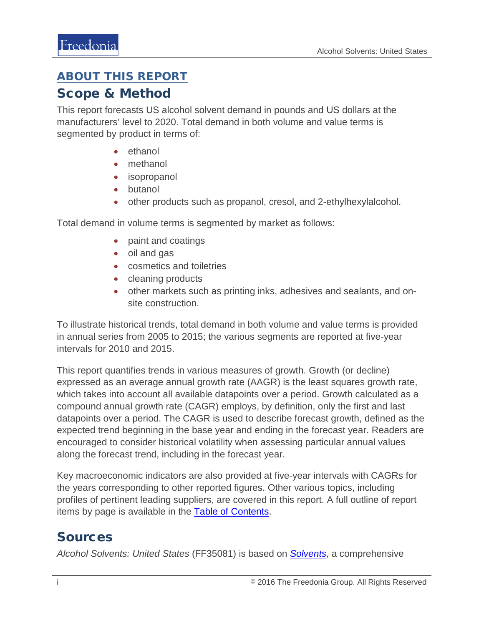## <span id="page-1-0"></span>ABOUT THIS REPORT

## Scope & Method

This report forecasts US alcohol solvent demand in pounds and US dollars at the manufacturers' level to 2020. Total demand in both volume and value terms is segmented by product in terms of:

- ethanol
- methanol
- isopropanol
- butanol
- other products such as propanol, cresol, and 2-ethylhexylalcohol.

Total demand in volume terms is segmented by market as follows:

- paint and coatings
- oil and gas
- cosmetics and toiletries
- cleaning products
- other markets such as printing inks, adhesives and sealants, and onsite construction.

To illustrate historical trends, total demand in both volume and value terms is provided in annual series from 2005 to 2015; the various segments are reported at five-year intervals for 2010 and 2015.

This report quantifies trends in various measures of growth. Growth (or decline) expressed as an average annual growth rate (AAGR) is the least squares growth rate, which takes into account all available datapoints over a period. Growth calculated as a compound annual growth rate (CAGR) employs, by definition, only the first and last datapoints over a period. The CAGR is used to describe forecast growth, defined as the expected trend beginning in the base year and ending in the forecast year. Readers are encouraged to consider historical volatility when assessing particular annual values along the forecast trend, including in the forecast year.

Key macroeconomic indicators are also provided at five-year intervals with CAGRs for the years corresponding to other reported figures. Other various topics, including profiles of pertinent leading suppliers, are covered in this report. A full outline of report items by page is available in the **Table of Contents**.

## Sources

*Alcohol Solvents: United States* (FF35081) is based on *[Solvents](http://www.freedoniagroup.com/DocumentDetails.aspx?ReferrerId=FL-FOCUS&studyid=3429)*, a comprehensive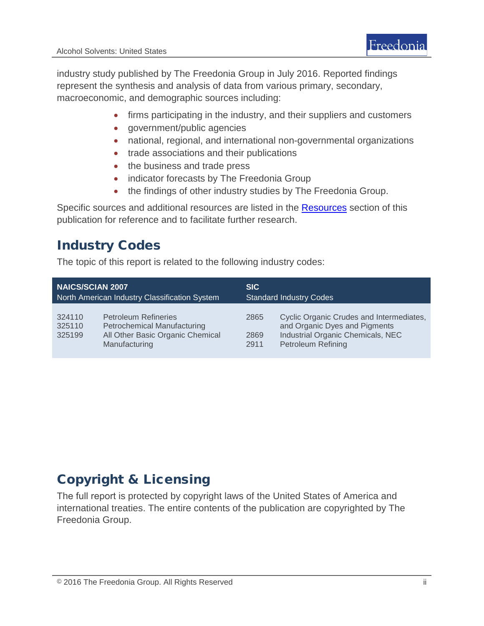industry study published by The Freedonia Group in July 2016. Reported findings represent the synthesis and analysis of data from various primary, secondary, macroeconomic, and demographic sources including:

- firms participating in the industry, and their suppliers and customers
- government/public agencies
- national, regional, and international non-governmental organizations
- trade associations and their publications
- the business and trade press
- indicator forecasts by The Freedonia Group
- the findings of other industry studies by The Freedonia Group.

Specific sources and additional resources are listed in the **Resources** section of this publication for reference and to facilitate further research.

# Industry Codes

The topic of this report is related to the following industry codes:

| <b>NAICS/SCIAN 2007</b>                       |                                                                                                                        | <b>SIC</b>                     |                                                                                                                                             |
|-----------------------------------------------|------------------------------------------------------------------------------------------------------------------------|--------------------------------|---------------------------------------------------------------------------------------------------------------------------------------------|
| North American Industry Classification System |                                                                                                                        | <b>Standard Industry Codes</b> |                                                                                                                                             |
| 324110<br>325110<br>325199                    | <b>Petroleum Refineries</b><br><b>Petrochemical Manufacturing</b><br>All Other Basic Organic Chemical<br>Manufacturing | 2865<br>2869<br>2911           | Cyclic Organic Crudes and Intermediates,<br>and Organic Dyes and Pigments<br>Industrial Organic Chemicals, NEC<br><b>Petroleum Refining</b> |

# Copyright & Licensing

The full report is protected by copyright laws of the United States of America and international treaties. The entire contents of the publication are copyrighted by The Freedonia Group.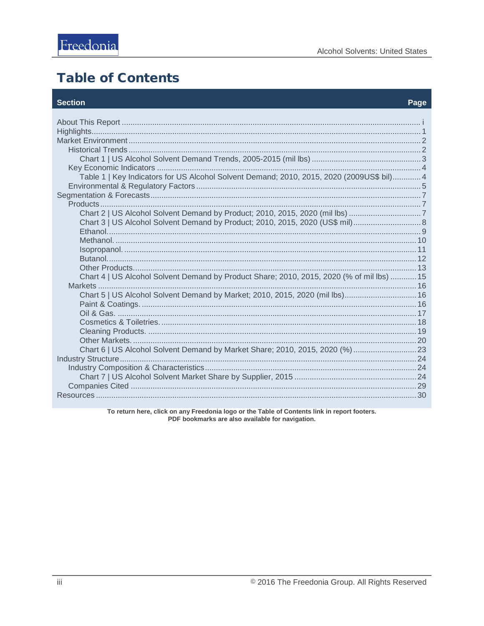# <span id="page-3-0"></span>**Table of Contents**

#### **Section**

#### Page

| Table 1   Key Indicators for US Alcohol Solvent Demand; 2010, 2015, 2020 (2009US\$ bil) 4 |  |
|-------------------------------------------------------------------------------------------|--|
|                                                                                           |  |
| Chart 3   US Alcohol Solvent Demand by Product; 2010, 2015, 2020 (US\$ mil) 8             |  |
|                                                                                           |  |
| Chart 4   US Alcohol Solvent Demand by Product Share; 2010, 2015, 2020 (% of mil lbs)  15 |  |
| Chart 5   US Alcohol Solvent Demand by Market; 2010, 2015, 2020 (mil lbs) 16              |  |
|                                                                                           |  |
| Chart 6   US Alcohol Solvent Demand by Market Share; 2010, 2015, 2020 (%) 23              |  |
|                                                                                           |  |
|                                                                                           |  |

To return here, click on any Freedonia logo or the Table of Contents link in report footers. PDF bookmarks are also available for navigation.